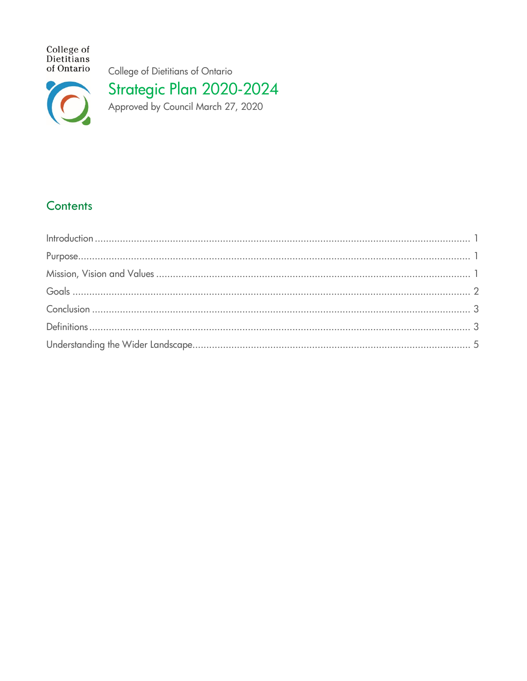College of<br>Dietitians<br>of Ontario

College of Dietitians of Ontario



Strategic Plan 2020-2024<br>Approved by Council March 27, 2020

# Contents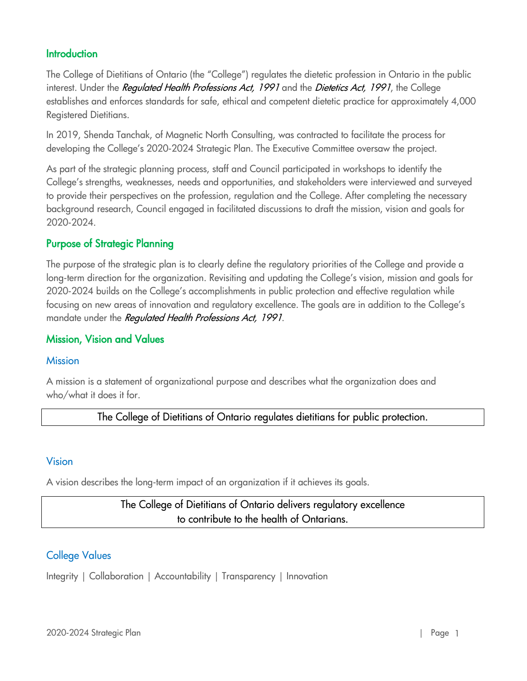### <span id="page-1-0"></span>**Introduction**

The College of Dietitians of Ontario (the "College") regulates the dietetic profession in Ontario in the public interest. Under the Requlated Health Professions Act, 1991 and the Dietetics Act, 1991, the College establishes and enforces standards for safe, ethical and competent dietetic practice for approximately 4,000 Registered Dietitians.

In 2019, Shenda Tanchak, of Magnetic North Consulting, was contracted to facilitate the process for developing the College's 2020-2024 Strategic Plan. The Executive Committee oversaw the project.

As part of the strategic planning process, staff and Council participated in workshops to identify the College's strengths, weaknesses, needs and opportunities, and stakeholders were interviewed and surveyed to provide their perspectives on the profession, regulation and the College. After completing the necessary background research, Council engaged in facilitated discussions to draft the mission, vision and goals for 2020-2024.

### <span id="page-1-1"></span>Purpose of Strategic Planning

The purpose of the strategic plan is to clearly define the regulatory priorities of the College and provide a long-term direction for the organization. Revisiting and updating the College's vision, mission and goals for 2020-2024 builds on the College's accomplishments in public protection and effective regulation while focusing on new areas of innovation and regulatory excellence. The goals are in addition to the College's mandate under the Regulated Health Professions Act, 1991.

### <span id="page-1-2"></span>Mission, Vision and Values

#### **Mission**

A mission is a statement of organizational purpose and describes what the organization does and who/what it does it for.

The College of Dietitians of Ontario regulates dietitians for public protection.

#### Vision

A vision describes the long-term impact of an organization if it achieves its goals.

# The College of Dietitians of Ontario delivers regulatory excellence to contribute to the health of Ontarians.

### College Values

<span id="page-1-3"></span>Integrity | Collaboration | Accountability | Transparency | Innovation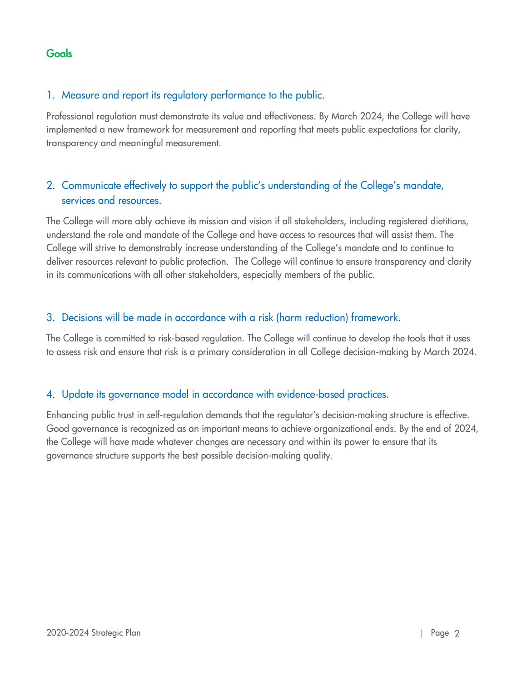**Goals** 

#### 1. Measure and report its regulatory performance to the public.

Professional regulation must demonstrate its value and effectiveness. By March 2024, the College will have implemented a new framework for measurement and reporting that meets public expectations for clarity, transparency and meaningful measurement.

## 2. Communicate effectively to support the public's understanding of the College's mandate, services and resources.

The College will more ably achieve its mission and vision if all stakeholders, including registered dietitians, understand the role and mandate of the College and have access to resources that will assist them. The College will strive to demonstrably increase understanding of the College's mandate and to continue to deliver resources relevant to public protection. The College will continue to ensure transparency and clarity in its communications with all other stakeholders, especially members of the public.

#### 3. Decisions will be made in accordance with a risk (harm reduction) framework.

The College is committed to risk-based regulation. The College will continue to develop the tools that it uses to assess risk and ensure that risk is a primary consideration in all College decision-making by March 2024.

#### 4. Update its governance model in accordance with evidence-based practices.

Enhancing public trust in self-regulation demands that the regulator's decision-making structure is effective. Good governance is recognized as an important means to achieve organizational ends. By the end of 2024, the College will have made whatever changes are necessary and within its power to ensure that its governance structure supports the best possible decision-making quality.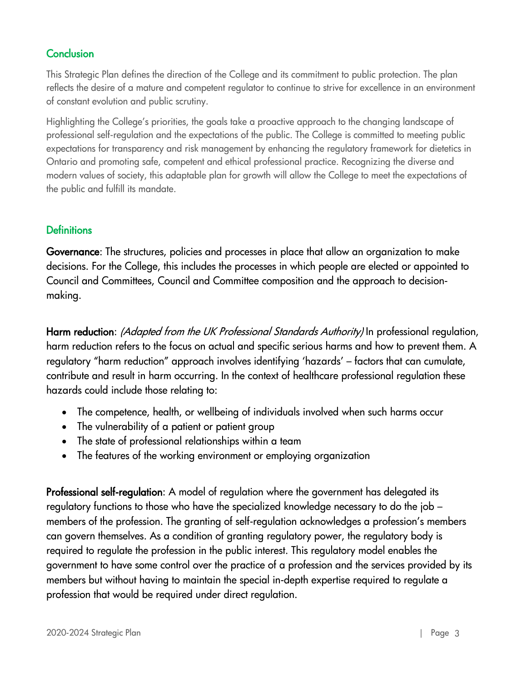# <span id="page-3-0"></span>**Conclusion**

This Strategic Plan defines the direction of the College and its commitment to public protection. The plan reflects the desire of a mature and competent regulator to continue to strive for excellence in an environment of constant evolution and public scrutiny.

Highlighting the College's priorities, the goals take a proactive approach to the changing landscape of professional self-regulation and the expectations of the public. The College is committed to meeting public expectations for transparency and risk management by enhancing the regulatory framework for dietetics in Ontario and promoting safe, competent and ethical professional practice. Recognizing the diverse and modern values of society, this adaptable plan for growth will allow the College to meet the expectations of the public and fulfill its mandate.

## <span id="page-3-1"></span>**Definitions**

Governance: The structures, policies and processes in place that allow an organization to make decisions. For the College, this includes the processes in which people are elected or appointed to Council and Committees, Council and Committee composition and the approach to decisionmaking.

Harm reduction: (Adapted from the UK Professional Standards Authority) In professional regulation, harm reduction refers to the focus on actual and specific serious harms and how to prevent them. A regulatory "harm reduction" approach involves identifying 'hazards' – factors that can cumulate, contribute and result in harm occurring. In the context of healthcare professional regulation these hazards could include those relating to:

- The competence, health, or wellbeing of individuals involved when such harms occur
- The vulnerability of a patient or patient group
- The state of professional relationships within a team
- The features of the working environment or employing organization

Professional self-requlation: A model of requlation where the government has delegated its regulatory functions to those who have the specialized knowledge necessary to do the job – members of the profession. The granting of self-regulation acknowledges a profession's members can govern themselves. As a condition of granting regulatory power, the regulatory body is required to regulate the profession in the public interest. This regulatory model enables the government to have some control over the practice of a profession and the services provided by its members but without having to maintain the special in-depth expertise required to regulate a profession that would be required under direct regulation.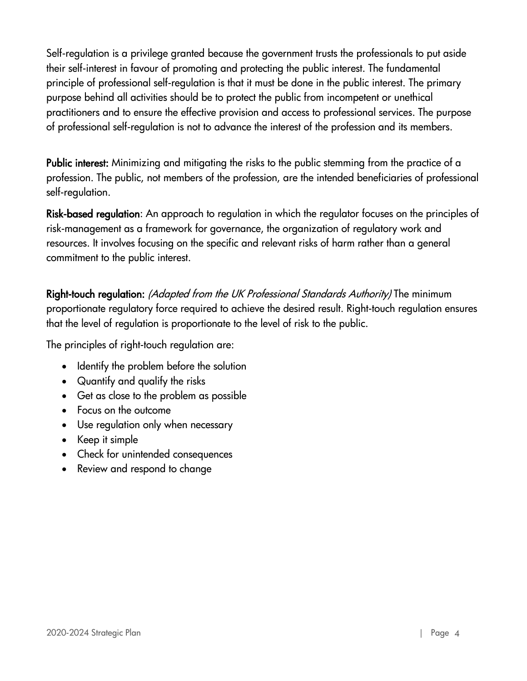Self-regulation is a privilege granted because the government trusts the professionals to put aside their self-interest in favour of promoting and protecting the public interest. The fundamental principle of professional self-regulation is that it must be done in the public interest. The primary purpose behind all activities should be to protect the public from incompetent or unethical practitioners and to ensure the effective provision and access to professional services. The purpose of professional self-regulation is not to advance the interest of the profession and its members.

Public interest: Minimizing and mitigating the risks to the public stemming from the practice of a profession. The public, not members of the profession, are the intended beneficiaries of professional self-regulation.

Risk-based regulation: An approach to regulation in which the regulator focuses on the principles of risk-management as a framework for governance, the organization of regulatory work and resources. It involves focusing on the specific and relevant risks of harm rather than a general commitment to the public interest.

Right-touch regulation: (Adapted from the UK Professional Standards Authority) The minimum proportionate regulatory force required to achieve the desired result. Right-touch regulation ensures that the level of regulation is proportionate to the level of risk to the public.

The principles of right-touch regulation are:

- Identify the problem before the solution
- Quantify and qualify the risks
- Get as close to the problem as possible
- Focus on the outcome
- Use regulation only when necessary
- Keep it simple
- Check for unintended consequences
- Review and respond to change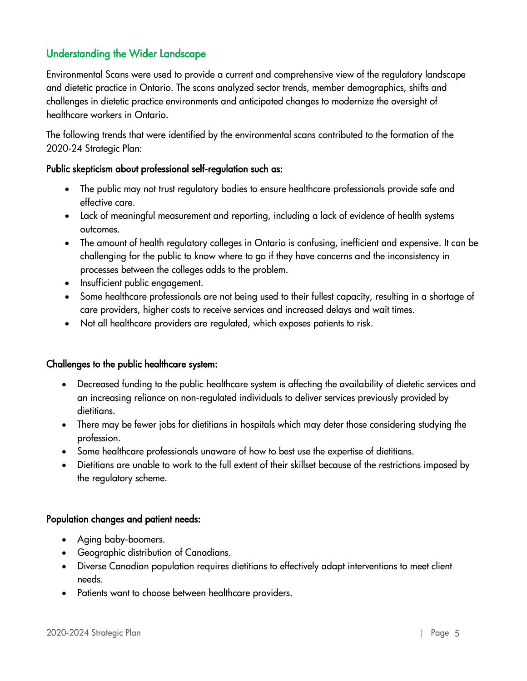# <span id="page-5-0"></span>Understanding the Wider Landscape

Environmental Scans were used to provide a current and comprehensive view of the regulatory landscape and dietetic practice in Ontario. The scans analyzed sector trends, member demographics, shifts and challenges in dietetic practice environments and anticipated changes to modernize the oversight of healthcare workers in Ontario.

The following trends that were identified by the environmental scans contributed to the formation of the 2020-24 Strategic Plan:

#### Public skepticism about professional self-regulation such as:

- The public may not trust regulatory bodies to ensure healthcare professionals provide safe and effective care.
- Lack of meaningful measurement and reporting, including a lack of evidence of health systems outcomes.
- The amount of health regulatory colleges in Ontario is confusing, inefficient and expensive. It can be challenging for the public to know where to go if they have concerns and the inconsistency in processes between the colleges adds to the problem.
- Insufficient public engagement.
- Some healthcare professionals are not being used to their fullest capacity, resulting in a shortage of care providers, higher costs to receive services and increased delays and wait times.
- Not all healthcare providers are regulated, which exposes patients to risk.

#### Challenges to the public healthcare system:

- Decreased funding to the public healthcare system is affecting the availability of dietetic services and an increasing reliance on non-regulated individuals to deliver services previously provided by dietitians.
- There may be fewer jobs for dietitians in hospitals which may deter those considering studying the profession.
- Some healthcare professionals unaware of how to best use the expertise of dietitians.
- Dietitians are unable to work to the full extent of their skillset because of the restrictions imposed by the regulatory scheme.

#### Population changes and patient needs:

- Aging baby-boomers.
- Geographic distribution of Canadians.
- Diverse Canadian population requires dietitians to effectively adapt interventions to meet client needs.
- Patients want to choose between healthcare providers.